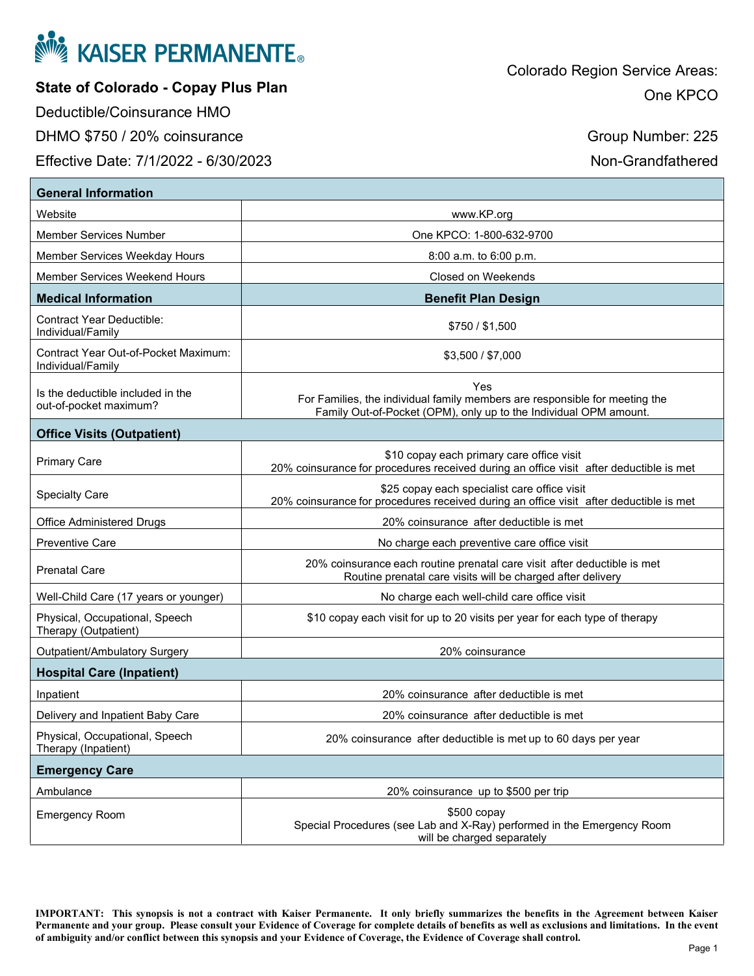

**State of Colorado - Copay Plus Plan** 

Deductible/Coinsurance HMO

DHMO \$750 / 20% coinsurance

Effective Date: 7/1/2022 - 6/30/2023

Group Number: 225

Non-Grandfathered

| <b>General Information</b>                                  |                                                                                                                                                         |  |
|-------------------------------------------------------------|---------------------------------------------------------------------------------------------------------------------------------------------------------|--|
| Website                                                     | www.KP.org                                                                                                                                              |  |
| Member Services Number                                      | One KPCO: 1-800-632-9700                                                                                                                                |  |
| Member Services Weekday Hours                               | $8:00$ a.m. to $6:00$ p.m.                                                                                                                              |  |
| Member Services Weekend Hours                               | Closed on Weekends                                                                                                                                      |  |
| <b>Medical Information</b>                                  | <b>Benefit Plan Design</b>                                                                                                                              |  |
| <b>Contract Year Deductible:</b><br>Individual/Family       | \$750 / \$1,500                                                                                                                                         |  |
| Contract Year Out-of-Pocket Maximum:<br>Individual/Family   | \$3,500 / \$7,000                                                                                                                                       |  |
| Is the deductible included in the<br>out-of-pocket maximum? | Yes<br>For Families, the individual family members are responsible for meeting the<br>Family Out-of-Pocket (OPM), only up to the Individual OPM amount. |  |
| <b>Office Visits (Outpatient)</b>                           |                                                                                                                                                         |  |
| <b>Primary Care</b>                                         | \$10 copay each primary care office visit<br>20% coinsurance for procedures received during an office visit after deductible is met                     |  |
| <b>Specialty Care</b>                                       | \$25 copay each specialist care office visit<br>20% coinsurance for procedures received during an office visit after deductible is met                  |  |
| <b>Office Administered Drugs</b>                            | 20% coinsurance after deductible is met                                                                                                                 |  |
| <b>Preventive Care</b>                                      | No charge each preventive care office visit                                                                                                             |  |
| <b>Prenatal Care</b>                                        | 20% coinsurance each routine prenatal care visit after deductible is met<br>Routine prenatal care visits will be charged after delivery                 |  |
| Well-Child Care (17 years or younger)                       | No charge each well-child care office visit                                                                                                             |  |
| Physical, Occupational, Speech<br>Therapy (Outpatient)      | \$10 copay each visit for up to 20 visits per year for each type of therapy                                                                             |  |
| Outpatient/Ambulatory Surgery                               | 20% coinsurance                                                                                                                                         |  |
| <b>Hospital Care (Inpatient)</b>                            |                                                                                                                                                         |  |
| Inpatient                                                   | 20% coinsurance after deductible is met                                                                                                                 |  |
| Delivery and Inpatient Baby Care                            | 20% coinsurance after deductible is met                                                                                                                 |  |
| Physical, Occupational, Speech<br>Therapy (Inpatient)       | 20% coinsurance after deductible is met up to 60 days per year                                                                                          |  |
| <b>Emergency Care</b>                                       |                                                                                                                                                         |  |
| Ambulance                                                   | 20% coinsurance up to \$500 per trip                                                                                                                    |  |
| <b>Emergency Room</b>                                       | $$500$ copay<br>Special Procedures (see Lab and X-Ray) performed in the Emergency Room<br>will be charged separately                                    |  |

**IMPORTANT: This synopsis is not a contract with Kaiser Permanente. It only briefly summarizes the benefits in the Agreement between Kaiser Permanente and your group. Please consult your Evidence of Coverage for complete details of benefits as well as exclusions and limitations. In the event of ambiguity and/or conflict between this synopsis and your Evidence of Coverage, the Evidence of Coverage shall control.**